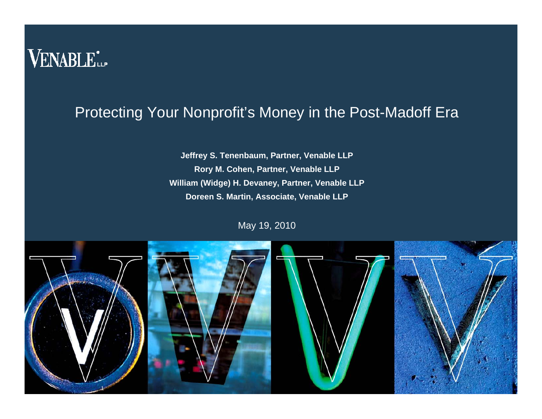## VENABLE<sup>\*</sup>

#### Protecting Your Nonprofit's Money in the Post-Madoff Era

**Jeffrey S. Tenenbaum, Partner, Venable LLP Rory M. Cohen, Partner, Venable LLP William (Widge) H. Devaney, Partner, Venable LLP Doreen S. Martin, Associate, Venable LLP**

May 19, 2010

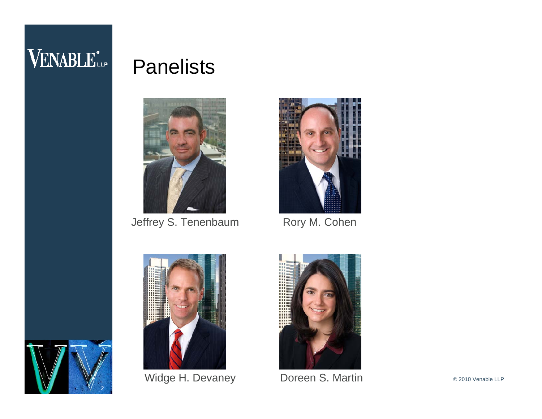# VENABLE<sup>\*</sup>

#### Panelists



Jeffrey S. Tenenbaum Rory M. Cohen





Widge H. Devaney Doreen S. Martin

2

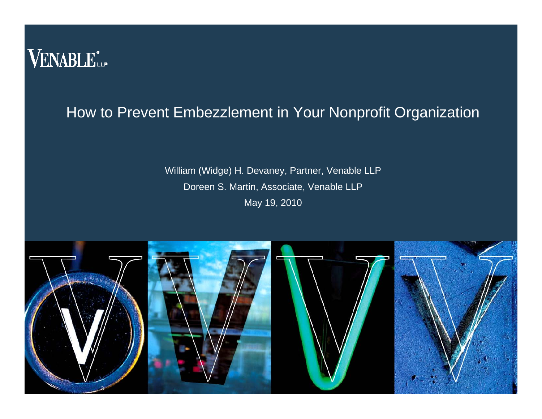

#### How to Prevent Embezzlement in Your Nonprofit Organization

William (Widge) H. Devaney, Partner, Venable LLP Doreen S. Martin, Associate, Venable LLP May 19, 2010

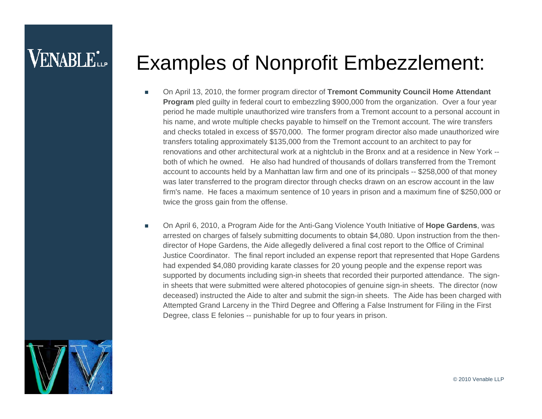### **VENABLE**\*

#### Examples of Nonprofit Embezzlement:

- On April 13, 2010, the former program director of **Tremont Community Council Home Attendant Program** pled guilty in federal court to embezzling \$900,000 from the organization. Over a four year period he made multiple unauthorized wire transfers from a Tremont account to a personal account in his name, and wrote multiple checks payable to himself on the Tremont account. The wire transfers and checks totaled in excess of \$570,000. The former program director also made unauthorized wire transfers totaling approximately \$135,000 from the Tremont account to an architect to pay for renovations and other architectural work at a nightclub in the Bronx and at a residence in New York - both of which he owned. He also had hundred of thousands of dollars transferred from the Tremont account to accounts held by a Manhattan law firm and one of its principals -- \$258,000 of that money was later transferred to the program director through checks drawn on an escrow account in the law firm's name. He faces a maximum sentence of 10 years in prison and a maximum fine of \$250,000 or twice the gross gain from the offense.
- Г On April 6, 2010, a Program Aide for the Anti-Gang Violence Youth Initiative of **Hope Gardens**, was arrested on charges of falsely submitting documents to obtain \$4,080. Upon instruction from the thendirector of Hope Gardens, the Aide allegedly delivered a final cost report to the Office of Criminal Justice Coordinator. The final report included an expense report that represented that Hope Gardens had expended \$4,080 providing karate classes for 20 young people and the expense report was supported by documents including sign-in sheets that recorded their purported attendance. The signin sheets that were submitted were altered photocopies of genuine sign-in sheets. The director (now deceased) instructed the Aide to alter and submit the sign-in sheets. The Aide has been charged with Attempted Grand Larceny in the Third Degree and Offering a False Instrument for Filing in the First Degree, class E felonies -- punishable for up to four years in prison.

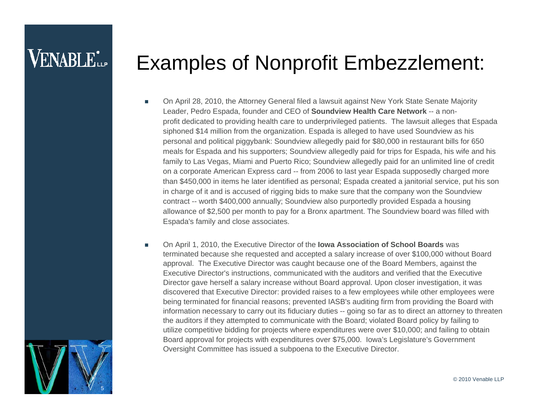### **VENABLE**\*

#### Examples of Nonprofit Embezzlement:

- On April 28, 2010, the Attorney General filed a lawsuit against New York State Senate Majority Leader, Pedro Espada, founder and CEO of **Soundview Health Care Network** -- a nonprofit dedicated to providing health care to underprivileged patients. The lawsuit alleges that Espada siphoned \$14 million from the organization. Espada is alleged to have used Soundview as his personal and political piggybank: Soundview allegedly paid for \$80,000 in restaurant bills for 650 meals for Espada and his supporters; Soundview allegedly paid for trips for Espada, his wife and his family to Las Vegas, Miami and Puerto Rico; Soundview allegedly paid for an unlimited line of credit on a corporate American Express card -- from 2006 to last year Espada supposedly charged more than \$450,000 in items he later identified as personal; Espada created a janitorial service, put his son in charge of it and is accused of rigging bids to make sure that the company won the Soundview contract -- worth \$400,000 annually; Soundview also purportedly provided Espada a housing allowance of \$2,500 per month to pay for a Bronx apartment. The Soundview board was filled with Espada's family and close associates.
- п On April 1, 2010, the Executive Director of the **Iowa Association of School Boards** was terminated because she requested and accepted a salary increase of over \$100,000 without Board approval. The Executive Director was caught because one of the Board Members, against the Executive Director's instructions, communicated with the auditors and verified that the Executive Director gave herself a salary increase without Board approval. Upon closer investigation, it was discovered that Executive Director: provided raises to a few employees while other employees were being terminated for financial reasons; prevented IASB's auditing firm from providing the Board with information necessary to carry out its fiduciary duties -- going so far as to direct an attorney to threaten the auditors if they attempted to communicate with the Board; violated Board policy by failing to utilize competitive bidding for projects where expenditures were over \$10,000; and failing to obtain Board approval for projects with expenditures over \$75,000. Iowa's Legislature's Government Oversight Committee has issued a subpoena to the Executive Director.

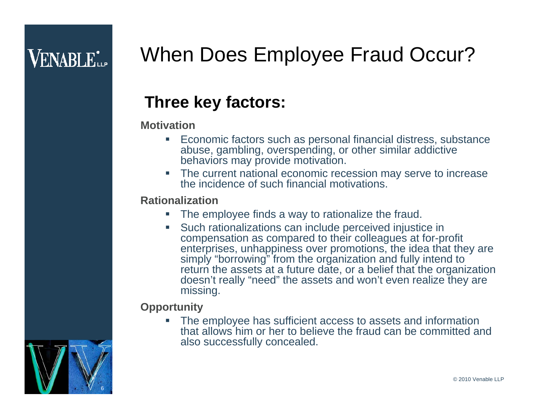# When Does Employee Fraud Occur?

#### **Three key factors:**

#### **Motivation**

- П Economic factors such as personal financial distress, substance abuse, gambling, overspending, or other similar addictive behaviors may provide motivation.
- H **The current national economic recession may serve to increase** the incidence of such financial motivations.

#### **Rationalization**

- $\overline{\phantom{a}}$ The employee finds a way to rationalize the fraud.
- ш Such rationalizations can include perceived injustice in compensation as compared to their colleagues at for-profit enterprises, unhappiness over promotions, the idea that they are simply "borrowing" from the organization and fully intend to return the assets at a future date, or a belief that the organization doesn't really "need" the assets and won't even realize they are missing.

#### **Opportunity**

ш The employee has sufficient access to assets and information that allows him or her to believe the fraud can be committed andalso successfully concealed.



© 2010 Venable LLP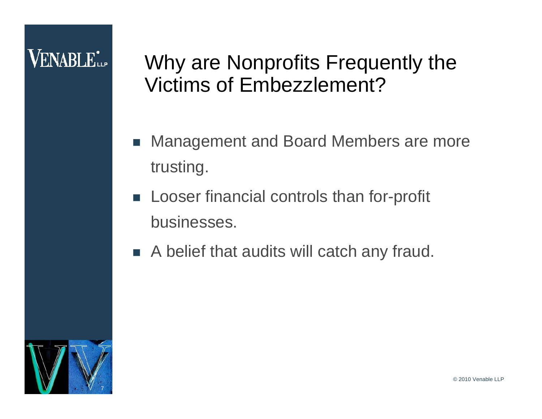## **VENABLE**L.

#### Why are Nonprofits Frequently the Victims of Embezzlement?

- П Management and Board Members are more trusting.
- Looser financial controls than for-profit businesses.
- A belief that audits will catch any fraud.

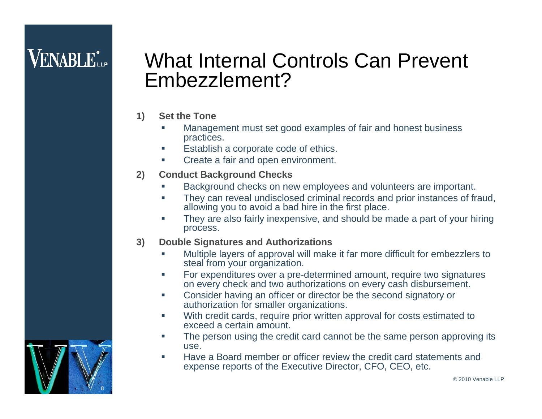## **VENABLE**L

#### What Internal Controls Can Prevent Embezzlement?

- **1) Set the Tone**
	- ш Management must set good examples of fair and honest business practices.
	- $\mathcal{L}_{\mathcal{A}}$ Establish a corporate code of ethics.
	- $\mathcal{L}_{\mathcal{A}}$ Create a fair and open environment.
- **2) Conduct Background Checks**
	- п Background checks on new employees and volunteers are important.
	- $\mathbf{r}$  They can reveal undisclosed criminal records and prior instances of fraud, allowing you to avoid a bad hire in the first place.
	- m. They are also fairly inexpensive, and should be made a part of your hiring process.
- **3) Double Signatures and Authorizations**
	- ш Multiple layers of approval will make it far more difficult for embezzlers to steal from your organization.
	- **I**  For expenditures over a pre-determined amount, require two signatures on every check and two authorizations on every cash disbursement.
	- $\mathcal{L}_{\mathcal{A}}$  Consider having an officer or director be the second signatory or authorization for smaller organizations.
	- $\mathcal{L}_{\mathcal{A}}$  With credit cards, require prior written approval for costs estimated to exceed a certain amount.
	- **In**  The person using the credit card cannot be the same person approving its use.
	- $\mathbf{r}$  Have a Board member or officer review the credit card statements and expense reports of the Executive Director, CFO, CEO, etc.

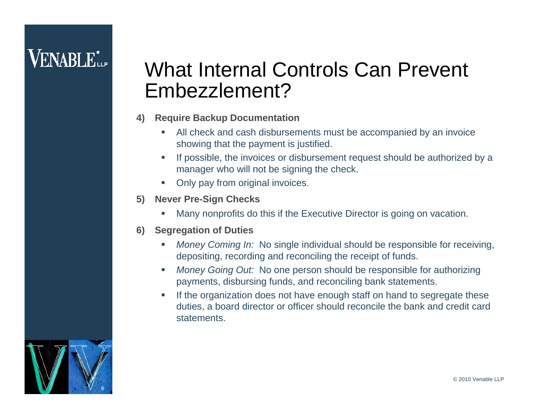#### What Internal Controls Can Prevent Embezzlement?

- **4) Require Backup Documentation**
	- п All check and cash disbursements must be accompanied by an invoice showing that the payment is justified.
	- $\mathcal{L}_{\mathcal{A}}$  If possible, the invoices or disbursement request should be authorized by a manager who will not be signing the check.
	- $\mathcal{L}_{\mathcal{A}}$ Only pay from original invoices.
- **5) Never Pre-Sign Checks**
	- T. Many nonprofits do this if the Executive Director is going on vacation.
- **6) Segregation of Duties**
	- $\mathcal{L}_{\mathcal{A}}$  *Money Coming In:* No single individual should be responsible for receiving, depositing, recording and reconciling the receipt of funds.
	- п *Money Going Out:* No one person should be responsible for authorizing payments, disbursing funds, and reconciling bank statements.
	- $\mathcal{L}_{\mathcal{A}}$  If the organization does not have enough staff on hand to segregate these duties, a board director or officer should reconcile the bank and credit card **statements**

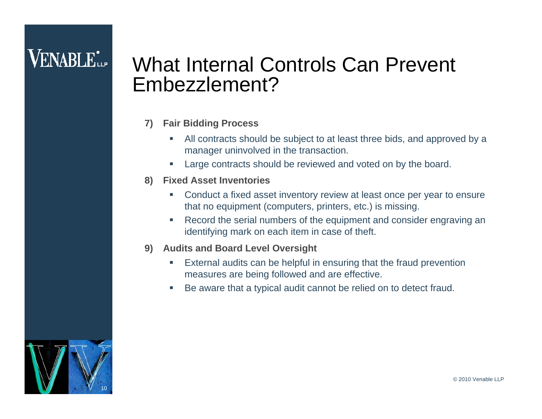### **VENABLE**L.

#### What Internal Controls Can Prevent Embezzlement?

#### **7) Fair Bidding Process**

- $\overline{\phantom{a}}$  All contracts should be subject to at least three bids, and approved by a manager uninvolved in the transaction.
- T, Large contracts should be reviewed and voted on by the board.
- **8) Fixed Asset Inventories**
	- $\blacksquare$  Conduct a fixed asset inventory review at least once per year to ensure that no equipment (computers, printers, etc.) is missing.
	- $\overline{\phantom{a}}$  Record the serial numbers of the equipment and consider engraving an identifying mark on each item in case of theft.
- **9) Audits and Board Level Oversight**
	- $\blacksquare$  External audits can be helpful in ensuring that the fraud prevention measures are being followed and are effective.
	- T, Be aware that a typical audit cannot be relied on to detect fraud.

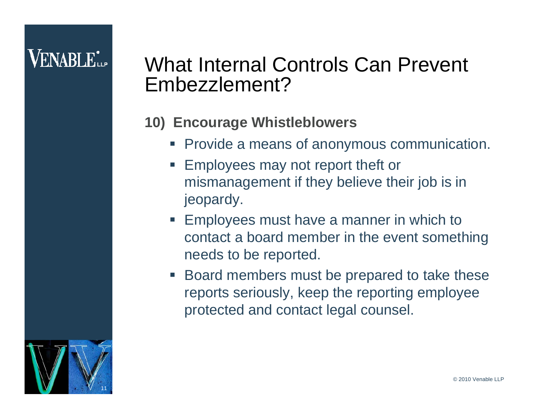#### What Internal Controls Can Prevent Embezzlement?

#### **10) Encourage Whistleblowers**

- **Provide a means of anonymous communication.**
- **Employees may not report theft or** mismanagement if they believe their job is in jeopardy.
- **Employees must have a manner in which to Fig.** contact a board member in the event something needs to be reported.
- Board members must be prepared to take these reports seriously, keep the reporting employee protected and contact legal counsel.

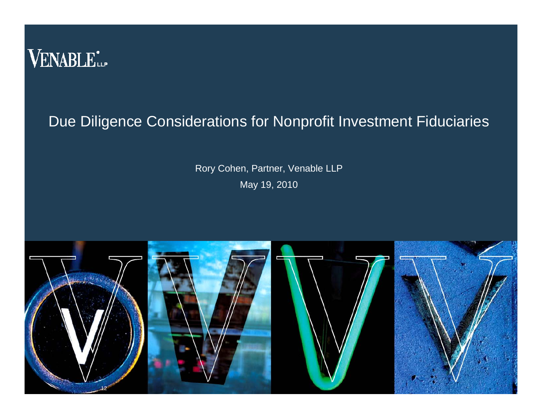

#### Due Diligence Considerations for Nonprofit Investment Fiduciaries

Rory Cohen, Partner, Venable LLP May 19, 2010

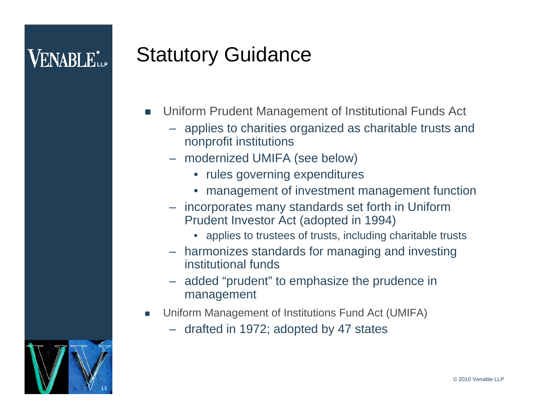## Statutory Guidance

- П Uniform Prudent Management of Institutional Funds Act
	- applies to charities organized as charitable trusts and nonprofit institutions
	- modernized UMIFA (see below)
		- rules governing expenditures
		- management of investment management function
	- incorporates many standards set forth in Uniform Prudent Investor Act (adopted in 1994)
		- applies to trustees of trusts, including charitable trusts
	- harmonizes standards for managing and investing institutional funds
	- added "prudent" to emphasize the prudence in management
- F Uniform Management of Institutions Fund Act (UMIFA)
	- drafted in 1972; adopted by 47 states

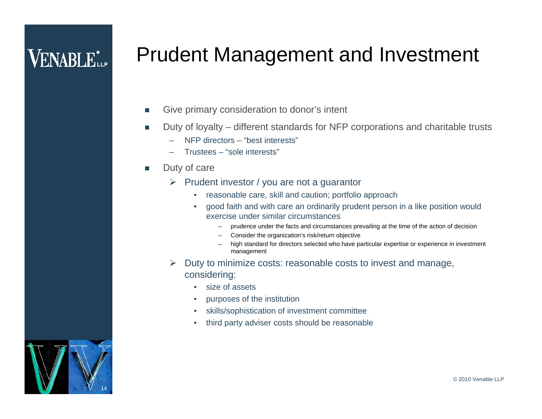# **VENABLE**L

#### Prudent Management and Investment

- п Give primary consideration to donor's intent
- **I**  Duty of loyalty – different standards for NFP corporations and charitable trusts
	- –NFP directors – "best interests"
	- –Trustees – "sole interests"
- **COL**  Duty of care
	- $\triangleright$  Prudent investor / you are not a guarantor
		- reasonable care, skill and caution; portfolio approach
		- • good faith and with care an ordinarily prudent person in a like position would exercise under similar circumstances
			- –prudence under the facts and circumstances prevailing at the time of the action of decision
			- Consider the organization's risk/return objective
			- high standard for directors selected who have particular expertise or experience in investment management
	- $\triangleright$  Duty to minimize costs: reasonable costs to invest and manage, considering:
		- size of assets
		- •purposes of the institution
		- •skills/sophistication of investment committee
		- •third party adviser costs should be reasonable

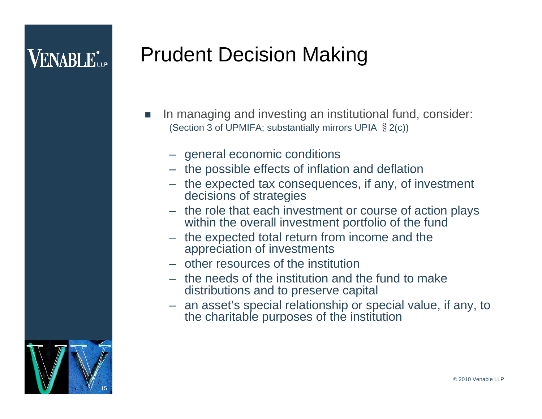# **VENABLE**

# Prudent Decision Making

- П In managing and investing an institutional fund, consider: (Section 3 of UPMIFA; substantially mirrors UPIA §2(c))
	- general economic conditions
	- the possible effects of inflation and deflation
	- the expected tax consequences, if any, of investment decisions of strategies
	- the role that each investment or course of action plays within the overall investment portfolio of the fund
	- the expected total return from income and the appreciation of investments
	- other resources of the institution
	- the needs of the institution and the fund to make distributions and to preserve capital
	- an asset's special relationship or special value, if any, to the charitable purposes of the institution

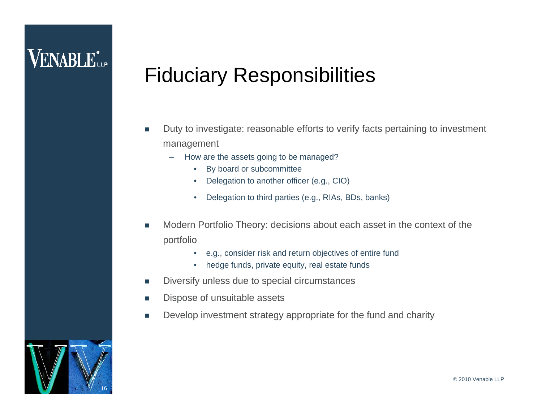### **VENABLE**\*

#### Fiduciary Responsibilities

- L. Duty to investigate: reasonable efforts to verify facts pertaining to investment management
	- – How are the assets going to be managed?
		- •By board or subcommittee
		- •Delegation to another officer (e.g., CIO)
		- •Delegation to third parties (e.g., RIAs, BDs, banks)
- П Modern Portfolio Theory: decisions about each asset in the context of the portfolio
	- •e.g., consider risk and return objectives of entire fund
	- •hedge funds, private equity, real estate funds
- **In** Diversify unless due to special circumstances
- П Dispose of unsuitable assets
- ▉ Develop investment strategy appropriate for the fund and charity

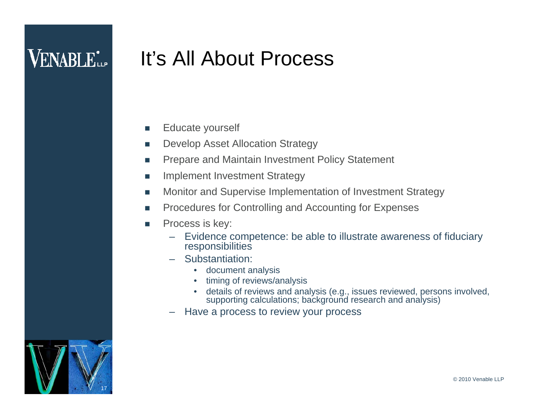#### It's All About Process

- L Educate yourself
- **T** Develop Asset Allocation Strategy
- **I** Prepare and Maintain Investment Policy Statement
- T. Implement Investment Strategy
- $\overline{\phantom{a}}$ Monitor and Supervise Implementation of Investment Strategy
- F Procedures for Controlling and Accounting for Expenses
- **Tale**  Process is key:
	- – Evidence competence: be able to illustrate awareness of fiduciary responsibilities
	- Substantiation:
		- document analysis
		- •timing of reviews/analysis
		- details of reviews and analysis (e.g., issues reviewed, persons involved, supporting calculations; background research and analysis)
	- Have a process to review your process

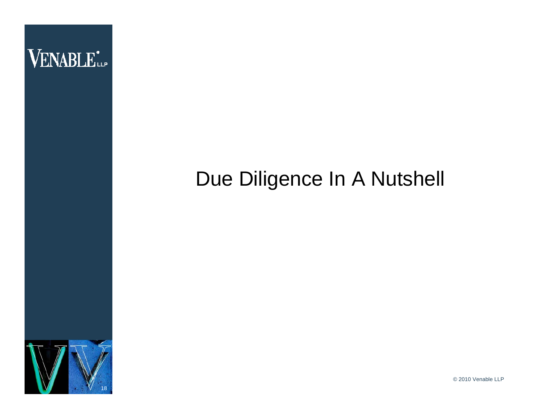

#### Due Diligence In A Nutshell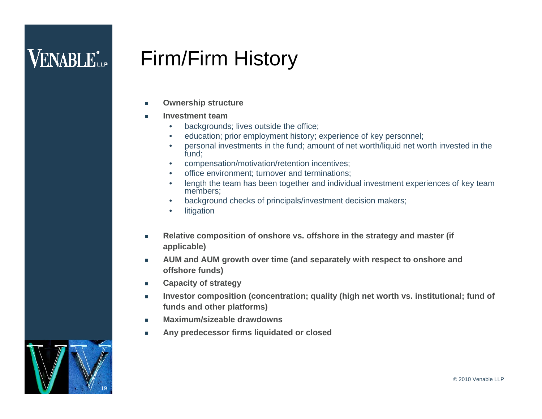#### Firm/Firm History

- П **Ownership structure**
- **Investment team**
	- •backgrounds; lives outside the office;
	- $\bullet$ education; prior employment history; experience of key personnel;
	- • personal investments in the fund; amount of net worth/liquid net worth invested in the fund;
	- •compensation/motivation/retention incentives;
	- •office environment; turnover and terminations;
	- • length the team has been together and individual investment experiences of key team members;
	- $\bullet$ background checks of principals/investment decision makers;
	- •litigation
- п **Relative composition of onshore vs. offshore in the strategy and master (if applicable)**
- $\mathcal{L}_{\mathcal{A}}$  **AUM and AUM growth over time (and separately with respect to onshore and offshore funds)**
- m. **Capacity of strategy**
- $\mathcal{L}_{\mathcal{A}}$  **Investor composition (concentration; quality (high net worth vs. institutional; fund of funds and other platforms)**
- Г **Maximum/sizeable drawdowns**
- $\mathcal{L}_{\mathcal{A}}$ **Any predecessor firms liquidated or closed**

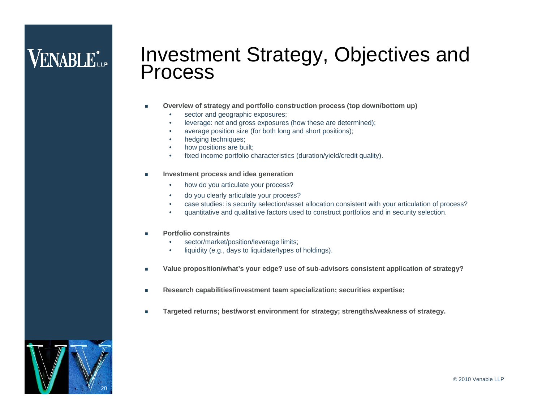# Investment Strategy, Objectives and Process

- г **Overview of strategy and portfolio construction process (top down/bottom up)**
	- •sector and geographic exposures;
	- •leverage: net and gross exposures (how these are determined);
	- •average position size (for both long and short positions);
	- •hedging techniques;
	- •how positions are built;
	- •fixed income portfolio characteristics (duration/yield/credit quality).
- г **Investment process and idea generation**
	- •how do you articulate your process?
	- •do you clearly articulate your process?
	- •case studies: is security selection/asset allocation consistent with your articulation of process?
	- •quantitative and qualitative factors used to construct portfolios and in security selection.
- г **Portfolio constraints**
	- •sector/market/position/leverage limits;
	- •liquidity (e.g., days to liquidate/types of holdings).
- г **Value proposition/what's your edge? use of sub-advisors consistent application of strategy?**
- г **Research capabilities/investment team specialization; securities expertise;**
- г **Targeted returns; best/worst environment for strategy; strengths/weakness of strategy.**

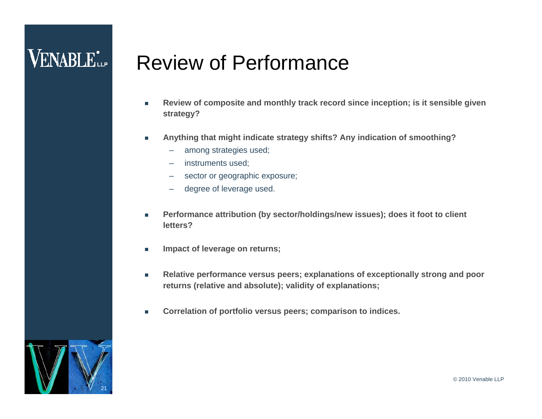#### **VENABLE**L.

#### Review of Performance

- П **Review of composite and monthly track record since inception; is it sensible given strategy?**
- $\mathcal{L}_{\mathcal{A}}$  **Anything that might indicate strategy shifts? Any indication of smoothing?** 
	- among strategies used;
	- instruments used;
	- –sector or geographic exposure;
	- degree of leverage used.
- Г **Performance attribution (by sector/holdings/new issues); does it foot to client letters?**
- $\mathcal{L}_{\mathcal{A}}$ **Impact of leverage on returns;**
- $\overline{\phantom{a}}$  **Relative performance versus peers; explanations of exceptionally strong and poor returns (relative and absolute); validity of explanations;**
- П **Correlation of portfolio versus peers; comparison to indices.**

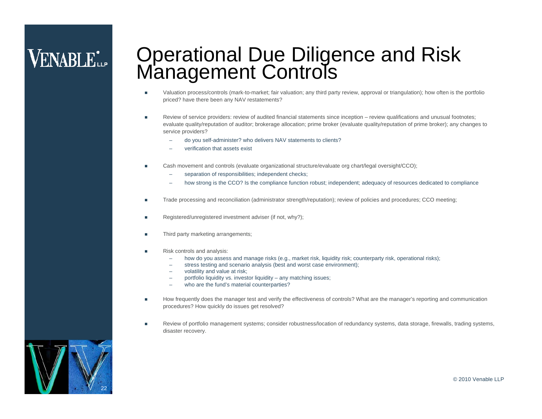# **VENABLE**\*

# Operational Due Diligence and Risk Management Controls

- Ε Valuation process/controls (mark-to-market; fair valuation; any third party review, approval or triangulation); how often is the portfolio priced? have there been any NAV restatements?
- П Review of service providers: review of audited financial statements since inception – review qualifications and unusual footnotes; evaluate quality/reputation of auditor; brokerage allocation; prime broker (evaluate quality/reputation of prime broker); any changes to service providers?
	- do you self-administer? who delivers NAV statements to clients?
	- –verification that assets exist
- Ε Cash movement and controls (evaluate organizational structure/evaluate org chart/legal oversight/CCO);
	- separation of responsibilities; independent checks;
	- how strong is the CCO? Is the compliance function robust; independent; adequacy of resources dedicated to compliance
- г Trade processing and reconciliation (administrator strength/reputation); review of policies and procedures; CCO meeting;
- T. Registered/unregistered investment adviser (if not, why?);
- г Third party marketing arrangements;
- г Risk controls and analysis:
	- how do you assess and manage risks (e.g., market risk, liquidity risk; counterparty risk, operational risks);
	- stress testing and scenario analysis (best and worst case environment);
	- –volatility and value at risk;
	- –portfolio liquidity vs. investor liquidity – any matching issues;
	- who are the fund's material counterparties?
- п How frequently does the manager test and verify the effectiveness of controls? What are the manager's reporting and communication procedures? How quickly do issues get resolved?
- г Review of portfolio management systems; consider robustness/location of redundancy systems, data storage, firewalls, trading systems, disaster recovery.

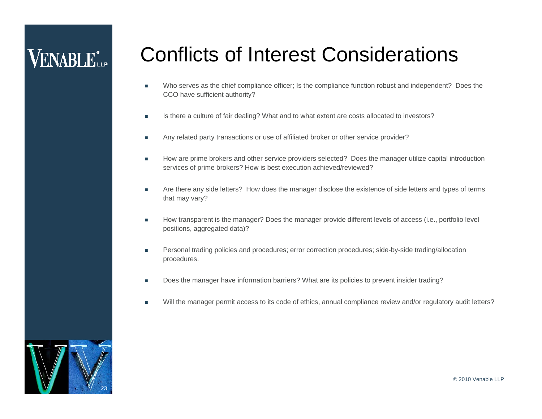#### Conflicts of Interest Considerations

- П Who serves as the chief compliance officer; Is the compliance function robust and independent? Does the CCO have sufficient authority?
- n. Is there a culture of fair dealing? What and to what extent are costs allocated to investors?
- П Any related party transactions or use of affiliated broker or other service provider?
- П How are prime brokers and other service providers selected? Does the manager utilize capital introduction services of prime brokers? How is best execution achieved/reviewed?
- п Are there any side letters? How does the manager disclose the existence of side letters and types of terms that may vary?
- п How transparent is the manager? Does the manager provide different levels of access (i.e., portfolio level positions, aggregated data)?
- $\mathcal{C}$  Personal trading policies and procedures; error correction procedures; side-by-side trading/allocation procedures.
- г Does the manager have information barriers? What are its policies to prevent insider trading?
- г Will the manager permit access to its code of ethics, annual compliance review and/or regulatory audit letters?

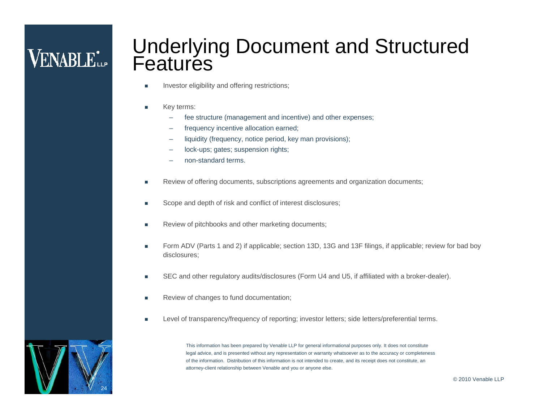# Underlying Document and Structured<br>Features

- г Investor eligibility and offering restrictions;
- г Key terms:
	- fee structure (management and incentive) and other expenses;
	- –frequency incentive allocation earned;
	- $\overline{\phantom{0}}$ liquidity (frequency, notice period, key man provisions);
	- –lock-ups; gates; suspension rights;
	- non-standard terms.
- г Review of offering documents, subscriptions agreements and organization documents;
- г Scope and depth of risk and conflict of interest disclosures;
- г Review of pitchbooks and other marketing documents;
- L Form ADV (Parts 1 and 2) if applicable; section 13D, 13G and 13F filings, if applicable; review for bad boy disclosures;
- г SEC and other regulatory audits/disclosures (Form U4 and U5, if affiliated with a broker-dealer).
- г Review of changes to fund documentation;
- г Level of transparency/frequency of reporting; investor letters; side letters/preferential terms.

This information has been prepared by Venable LLP for general informational purposes only. It does not constitute legal advice, and is presented without any representation or warranty whatsoever as to the accuracy or completeness of the information. Distribution of this information is not intended to create, and its receipt does not constitute, an attorney-client relationship between Venable and you or anyone else.